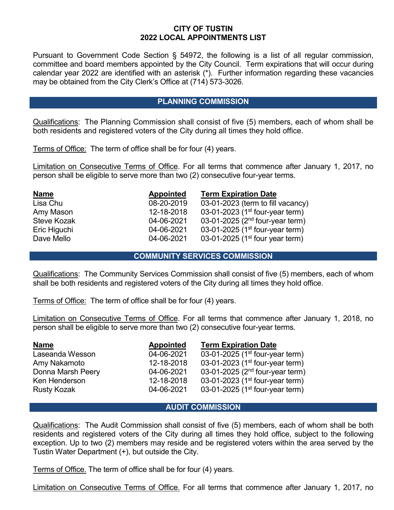# **CITY OF TUSTIN 2022 LOCAL APPOINTMENTS LIST**

Pursuant to Government Code Section § 54972, the following is a list of all regular commission, committee and board members appointed by the City Council. Term expirations that will occur during calendar year 2022 are identified with an asterisk (\*). Further information regarding these vacancies may be obtained from the City Clerk's Office at (714) 573-3026.

## **PLANNING COMMISSION**

Qualifications: The Planning Commission shall consist of five (5) members, each of whom shall be both residents and registered voters of the City during all times they hold office.

Terms of Office: The term of office shall be for four (4) years.

Limitation on Consecutive Terms of Office. For all terms that commence after January 1, 2017, no person shall be eligible to serve more than two (2) consecutive four-year terms.

| <b>Name</b>        | <b>Appointed</b> | <b>Term Expiration Date</b>                 |
|--------------------|------------------|---------------------------------------------|
| Lisa Chu           | 08-20-2019       | 03-01-2023 (term to fill vacancy)           |
| Amy Mason          | 12-18-2018       | 03-01-2023 (1st four-year term)             |
| <b>Steve Kozak</b> | 04-06-2021       | 03-01-2025 ( $2nd$ four-year term)          |
| Eric Higuchi       | 04-06-2021       | 03-01-2025 (1 <sup>st</sup> four-year term) |
| Dave Mello         | 04-06-2021       | 03-01-2025 (1 <sup>st</sup> four year term) |

#### **COMMUNITY SERVICES COMMISSION**

Qualifications: The Community Services Commission shall consist of five (5) members, each of whom shall be both residents and registered voters of the City during all times they hold office.

Terms of Office: The term of office shall be for four (4) years.

Limitation on Consecutive Terms of Office. For all terms that commence after January 1, 2018, no person shall be eligible to serve more than two (2) consecutive four-year terms.

| <b>Name</b>        | <b>Appointed</b> | <b>Term Expiration Date</b>                 |
|--------------------|------------------|---------------------------------------------|
| Laseanda Wesson    | 04-06-2021       | 03-01-2025 (1st four-year term)             |
| Amy Nakamoto       | 12-18-2018       | 03-01-2023 (1 <sup>st</sup> four-year term) |
| Donna Marsh Peery  | 04-06-2021       | 03-01-2025 ( $2nd$ four-year term)          |
| Ken Henderson      | 12-18-2018       | 03-01-2023 (1st four-year term)             |
| <b>Rusty Kozak</b> | 04-06-2021       | 03-01-2025 (1st four-year term)             |

# **AUDIT COMMISSION**

Qualifications: The Audit Commission shall consist of five (5) members, each of whom shall be both residents and registered voters of the City during all times they hold office, subject to the following exception. Up to two (2) members may reside and be registered voters within the area served by the Tustin Water Department (+), but outside the City.

Terms of Office. The term of office shall be for four (4) years.

Limitation on Consecutive Terms of Office. For all terms that commence after January 1, 2017, no